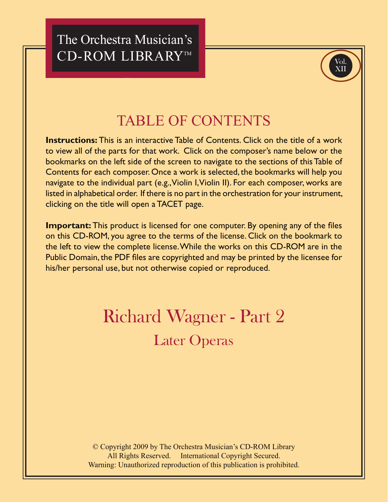The Orchestra Musician's CD-ROM LIBRARY™



## **TABLE OF CONTENTS**

**Instructions:** This is an interactive Table of Contents. Click on the title of a work to view all of the parts for that work. Click on the composer's name below or the bookmarks on the left side of the screen to navigate to the sections of this Table of Contents for each composer. Once a work is selected, the bookmarks will help you navigate to the individual part (e.g., Violin I, Violin II). For each composer, works are listed in alphabetical order. If there is no part in the orchestration for your instrument, clicking on the title will open a TACET page.

**Important:** This product is licensed for one computer. By opening any of the files on this CD-ROM, you agree to the terms of the license. Click on the bookmark to the left to view the complete license. While the works on this CD-ROM are in the Public Domain, the PDF files are copyrighted and may be printed by the licensee for his/her personal use, but not otherwise copied or reproduced.

## **Richard Wagner - Part 2 Later Operas**

© Copyright 2009 by The Orchestra Musician's CD-ROM Library All Rights Reserved. International Copyright Secured. Warning: Unauthorized reproduction of this publication is prohibited.